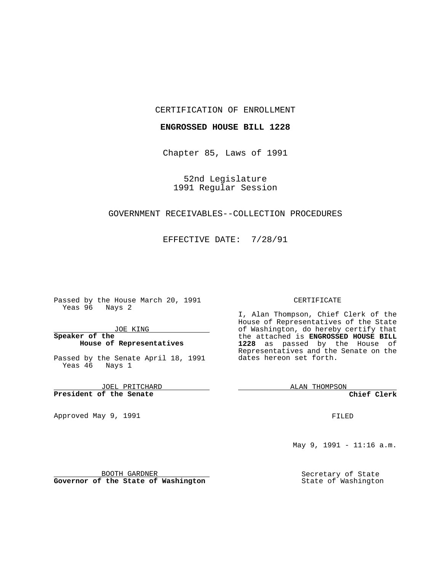#### CERTIFICATION OF ENROLLMENT

### **ENGROSSED HOUSE BILL 1228**

Chapter 85, Laws of 1991

52nd Legislature 1991 Regular Session

## GOVERNMENT RECEIVABLES--COLLECTION PROCEDURES

EFFECTIVE DATE: 7/28/91

Passed by the House March 20, 1991 Yeas 96 Nays 2

JOE KING

### **Speaker of the House of Representatives**

Passed by the Senate April 18, 1991 Yeas 46 Nays 1

JOEL PRITCHARD **President of the Senate**

Approved May 9, 1991

#### CERTIFICATE

I, Alan Thompson, Chief Clerk of the House of Representatives of the State of Washington, do hereby certify that the attached is **ENGROSSED HOUSE BILL 1228** as passed by the House of Representatives and the Senate on the dates hereon set forth.

ALAN THOMPSON

**Chief Clerk**

FILED

May 9, 1991 - 11:16 a.m.

Secretary of State State of Washington

BOOTH GARDNER

**Governor of the State of Washington**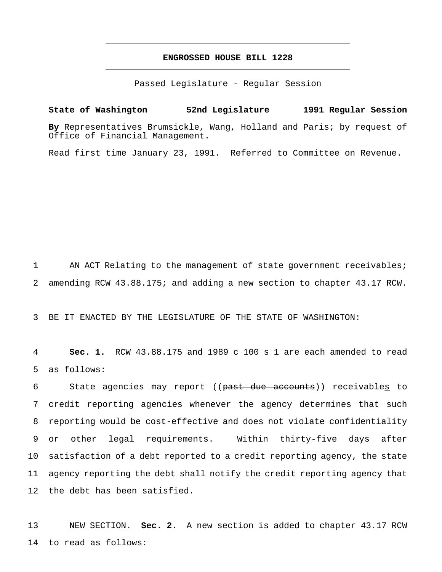# **ENGROSSED HOUSE BILL 1228** \_\_\_\_\_\_\_\_\_\_\_\_\_\_\_\_\_\_\_\_\_\_\_\_\_\_\_\_\_\_\_\_\_\_\_\_\_\_\_\_\_\_\_\_\_\_\_

\_\_\_\_\_\_\_\_\_\_\_\_\_\_\_\_\_\_\_\_\_\_\_\_\_\_\_\_\_\_\_\_\_\_\_\_\_\_\_\_\_\_\_\_\_\_\_

Passed Legislature - Regular Session

**State of Washington 52nd Legislature 1991 Regular Session By** Representatives Brumsickle, Wang, Holland and Paris; by request of Office of Financial Management.

Read first time January 23, 1991. Referred to Committee on Revenue.

1 AN ACT Relating to the management of state government receivables; 2 amending RCW 43.88.175; and adding a new section to chapter 43.17 RCW.

3 BE IT ENACTED BY THE LEGISLATURE OF THE STATE OF WASHINGTON:

4 **Sec. 1.** RCW 43.88.175 and 1989 c 100 s 1 are each amended to read 5 as follows:

6 State agencies may report ((past due accounts)) receivables to credit reporting agencies whenever the agency determines that such reporting would be cost-effective and does not violate confidentiality or other legal requirements. Within thirty-five days after satisfaction of a debt reported to a credit reporting agency, the state agency reporting the debt shall notify the credit reporting agency that the debt has been satisfied.

13 NEW SECTION. **Sec. 2.** A new section is added to chapter 43.17 RCW 14 to read as follows: